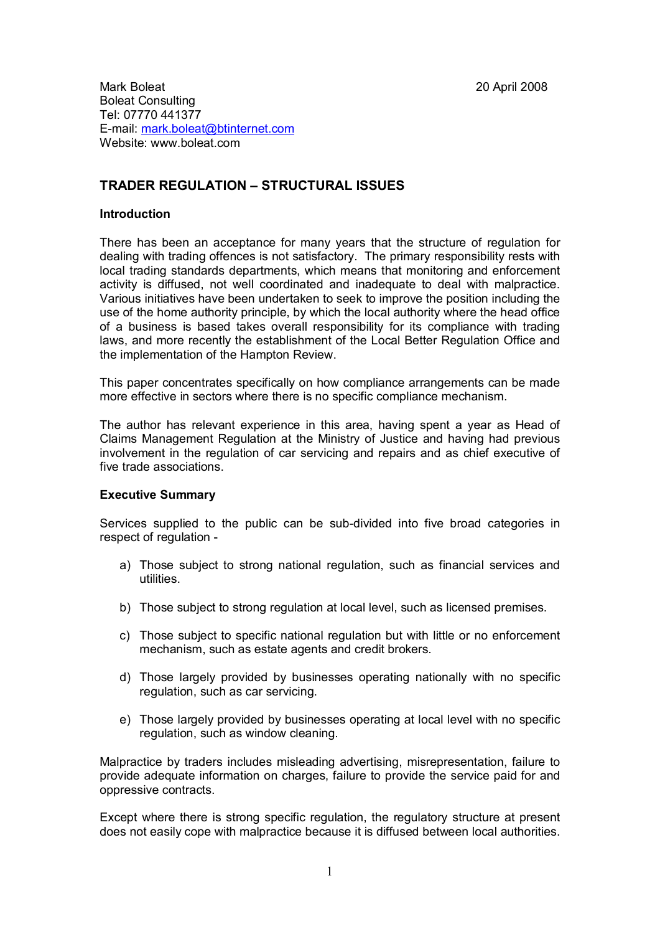Mark Boleat 2008 Boleat Consulting Tel: 07770 441377 E-mail: [mark.boleat@btinternet.com](mailto:mark.boleat@btinternet.com) Website: www.boleat.com

# **TRADER REGULATION – STRUCTURAL ISSUES**

### **Introduction**

There has been an acceptance for many years that the structure of regulation for dealing with trading offences is not satisfactory. The primary responsibility rests with local trading standards departments, which means that monitoring and enforcement activity is diffused, not well coordinated and inadequate to deal with malpractice. Various initiatives have been undertaken to seek to improve the position including the use of the home authority principle, by which the local authority where the head office of a business is based takes overall responsibility for its compliance with trading laws, and more recently the establishment of the Local Better Regulation Office and the implementation of the Hampton Review.

This paper concentrates specifically on how compliance arrangements can be made more effective in sectors where there is no specific compliance mechanism.

The author has relevant experience in this area, having spent a year as Head of Claims Management Regulation at the Ministry of Justice and having had previous involvement in the regulation of car servicing and repairs and as chief executive of five trade associations.

#### **Executive Summary**

Services supplied to the public can be sub-divided into five broad categories in respect of regulation -

- a) Those subject to strong national regulation, such as financial services and utilities.
- b) Those subject to strong regulation at local level, such as licensed premises.
- c) Those subject to specific national regulation but with little or no enforcement mechanism, such as estate agents and credit brokers.
- d) Those largely provided by businesses operating nationally with no specific regulation, such as car servicing.
- e) Those largely provided by businesses operating at local level with no specific regulation, such as window cleaning.

Malpractice by traders includes misleading advertising, misrepresentation, failure to provide adequate information on charges, failure to provide the service paid for and oppressive contracts.

Except where there is strong specific regulation, the regulatory structure at present does not easily cope with malpractice because it is diffused between local authorities.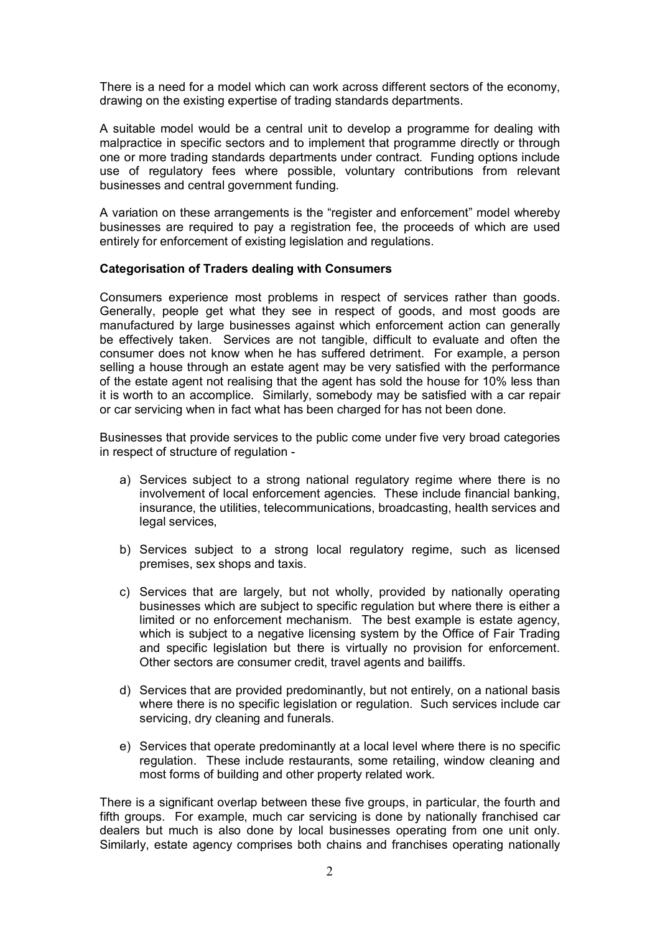There is a need for a model which can work across different sectors of the economy, drawing on the existing expertise of trading standards departments.

A suitable model would be a central unit to develop a programme for dealing with malpractice in specific sectors and to implement that programme directly or through one or more trading standards departments under contract. Funding options include use of regulatory fees where possible, voluntary contributions from relevant businesses and central government funding.

A variation on these arrangements is the "register and enforcement" model whereby businesses are required to pay a registration fee, the proceeds of which are used entirely for enforcement of existing legislation and regulations.

### **Categorisation of Traders dealing with Consumers**

Consumers experience most problems in respect of services rather than goods. Generally, people get what they see in respect of goods, and most goods are manufactured by large businesses against which enforcement action can generally be effectively taken. Services are not tangible, difficult to evaluate and often the consumer does not know when he has suffered detriment. For example, a person selling a house through an estate agent may be very satisfied with the performance of the estate agent not realising that the agent has sold the house for 10% less than it is worth to an accomplice. Similarly, somebody may be satisfied with a car repair or car servicing when in fact what has been charged for has not been done.

Businesses that provide services to the public come under five very broad categories in respect of structure of regulation -

- a) Services subject to a strong national regulatory regime where there is no involvement of local enforcement agencies. These include financial banking, insurance, the utilities, telecommunications, broadcasting, health services and legal services,
- b) Services subject to a strong local regulatory regime, such as licensed premises, sex shops and taxis.
- c) Services that are largely, but not wholly, provided by nationally operating businesses which are subject to specific regulation but where there is either a limited or no enforcement mechanism. The best example is estate agency, which is subject to a negative licensing system by the Office of Fair Trading and specific legislation but there is virtually no provision for enforcement. Other sectors are consumer credit, travel agents and bailiffs.
- d) Services that are provided predominantly, but not entirely, on a national basis where there is no specific legislation or regulation. Such services include car servicing, dry cleaning and funerals.
- e) Services that operate predominantly at a local level where there is no specific regulation. These include restaurants, some retailing, window cleaning and most forms of building and other property related work.

There is a significant overlap between these five groups, in particular, the fourth and fifth groups. For example, much car servicing is done by nationally franchised car dealers but much is also done by local businesses operating from one unit only. Similarly, estate agency comprises both chains and franchises operating nationally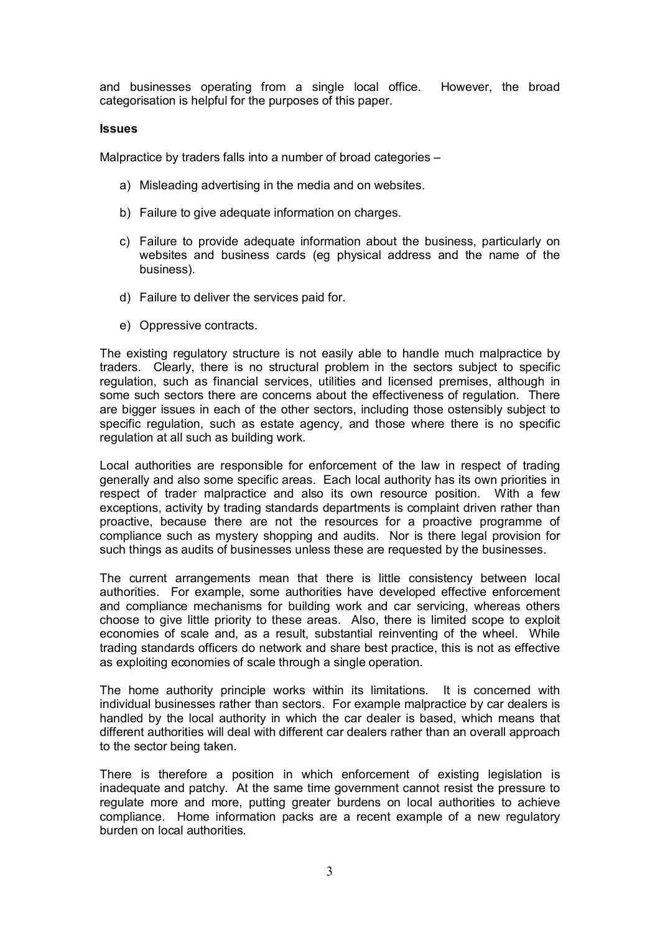and businesses operating from a single local office. However, the broad categorisation is helpful for the purposes of this paper.

#### **Issues**

Malpractice by traders falls into a number of broad categories –

- a) Misleading advertising in the media and on websites.
- b) Failure to give adequate information on charges.
- c) Failure to provide adequate information about the business, particularly on websites and business cards (eg physical address and the name of the business).
- d) Failure to deliver the services paid for.
- e) Oppressive contracts.

The existing regulatory structure is not easily able to handle much malpractice by traders. Clearly, there is no structural problem in the sectors subject to specific regulation, such as financial services, utilities and licensed premises, although in some such sectors there are concerns about the effectiveness of regulation. There are bigger issues in each of the other sectors, including those ostensibly subject to specific regulation, such as estate agency, and those where there is no specific regulation at all such as building work.

Local authorities are responsible for enforcement of the law in respect of trading generally and also some specific areas. Each local authority has its own priorities in respect of trader malpractice and also its own resource position. With a few exceptions, activity by trading standards departments is complaint driven rather than proactive, because there are not the resources for a proactive programme of compliance such as mystery shopping and audits. Nor is there legal provision for such things as audits of businesses unless these are requested by the businesses.

The current arrangements mean that there is little consistency between local authorities. For example, some authorities have developed effective enforcement and compliance mechanisms for building work and car servicing, whereas others choose to give little priority to these areas. Also, there is limited scope to exploit economies of scale and, as a result, substantial reinventing of the wheel. While trading standards officers do network and share best practice, this is not as effective as exploiting economies of scale through a single operation.

The home authority principle works within its limitations. It is concerned with individual businesses rather than sectors. For example malpractice by car dealers is handled by the local authority in which the car dealer is based, which means that different authorities will deal with different car dealers rather than an overall approach to the sector being taken.

There is therefore a position in which enforcement of existing legislation is inadequate and patchy. At the same time government cannot resist the pressure to regulate more and more, putting greater burdens on local authorities to achieve compliance. Home information packs are a recent example of a new regulatory burden on local authorities.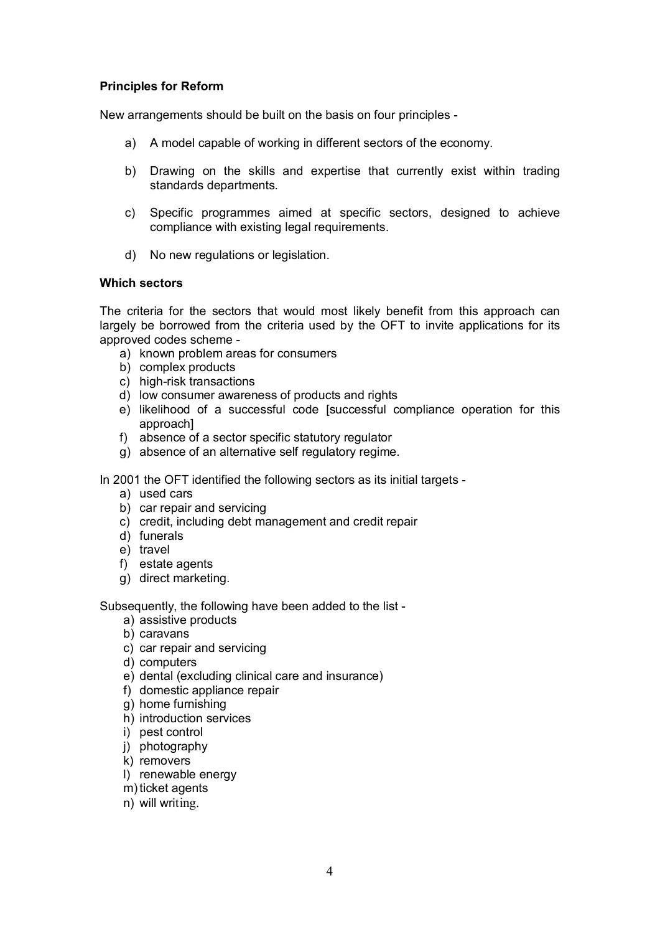## **Principles for Reform**

New arrangements should be built on the basis on four principles -

- a) A model capable of working in different sectors of the economy.
- b) Drawing on the skills and expertise that currently exist within trading standards departments.
- c) Specific programmes aimed at specific sectors, designed to achieve compliance with existing legal requirements.
- d) No new regulations or legislation.

### **Which sectors**

The criteria for the sectors that would most likely benefit from this approach can largely be borrowed from the criteria used by the OFT to invite applications for its approved codes scheme -

- a) known problem areas for consumers
- b) complex products
- c) high-risk transactions
- d) low consumer awareness of products and rights
- e) likelihood of a successful code [successful compliance operation for this approach]
- f) absence of a sector specific statutory regulator
- g) absence of an alternative self regulatory regime.

In 2001 the OFT identified the following sectors as its initial targets -

- a) used cars
- b) car repair and servicing
- c) credit, including debt management and credit repair
- d) funerals
- e) travel
- f) estate agents
- g) direct marketing.

Subsequently, the following have been added to the list -

- a) assistive products
- b) caravans
- c) car repair and servicing
- d) computers
- e) dental (excluding clinical care and insurance)
- f) domestic appliance repair
- g) home furnishing
- h) introduction services
- i) pest control
- j) photography
- k) removers
- l) renewable energy
- m) ticket agents
- n) will writing.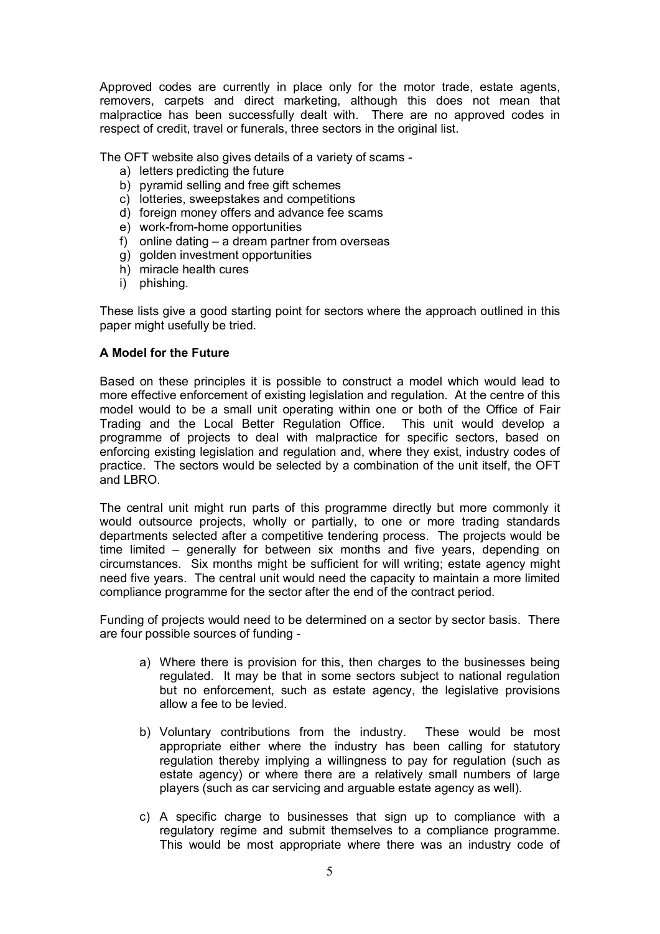Approved codes are currently in place only for the motor trade, estate agents, removers, carpets and direct marketing, although this does not mean that malpractice has been successfully dealt with. There are no approved codes in respect of credit, travel or funerals, three sectors in the original list.

The OFT website also gives details of a variety of scams -

- a) letters predicting the future
- b) pyramid selling and free gift schemes
- c) lotteries, sweepstakes and competitions
- d) foreign money offers and advance fee scams
- e) work-from-home opportunities
- f) online dating a dream partner from overseas
- g) golden investment opportunities
- h) miracle health cures
- i) phishing.

These lists give a good starting point for sectors where the approach outlined in this paper might usefully be tried.

### **A Model for the Future**

Based on these principles it is possible to construct a model which would lead to more effective enforcement of existing legislation and regulation. At the centre of this model would to be a small unit operating within one or both of the Office of Fair Trading and the Local Better Regulation Office. This unit would develop a programme of projects to deal with malpractice for specific sectors, based on enforcing existing legislation and regulation and, where they exist, industry codes of practice. The sectors would be selected by a combination of the unit itself, the OFT and LBRO.

The central unit might run parts of this programme directly but more commonly it would outsource projects, wholly or partially, to one or more trading standards departments selected after a competitive tendering process. The projects would be time limited – generally for between six months and five years, depending on circumstances. Six months might be sufficient for will writing; estate agency might need five years. The central unit would need the capacity to maintain a more limited compliance programme for the sector after the end of the contract period.

Funding of projects would need to be determined on a sector by sector basis. There are four possible sources of funding -

- a) Where there is provision for this, then charges to the businesses being regulated. It may be that in some sectors subject to national regulation but no enforcement, such as estate agency, the legislative provisions allow a fee to be levied.
- b) Voluntary contributions from the industry. These would be most appropriate either where the industry has been calling for statutory regulation thereby implying a willingness to pay for regulation (such as estate agency) or where there are a relatively small numbers of large players (such as car servicing and arguable estate agency as well).
- c) A specific charge to businesses that sign up to compliance with a regulatory regime and submit themselves to a compliance programme. This would be most appropriate where there was an industry code of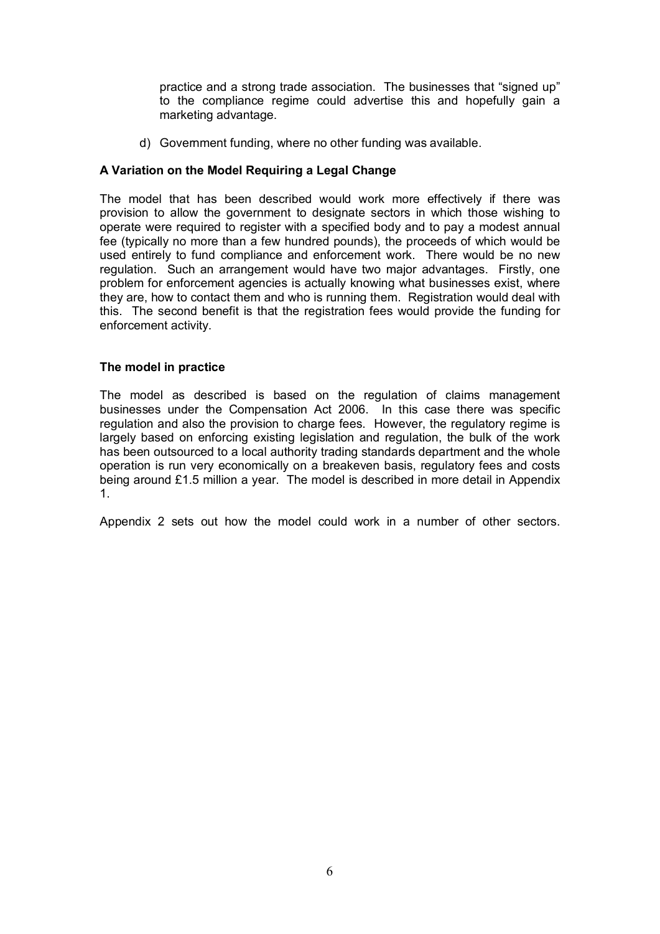practice and a strong trade association. The businesses that "signed up" to the compliance regime could advertise this and hopefully gain a marketing advantage.

d) Government funding, where no other funding was available.

## **A Variation on the Model Requiring a Legal Change**

The model that has been described would work more effectively if there was provision to allow the government to designate sectors in which those wishing to operate were required to register with a specified body and to pay a modest annual fee (typically no more than a few hundred pounds), the proceeds of which would be used entirely to fund compliance and enforcement work. There would be no new regulation. Such an arrangement would have two major advantages. Firstly, one problem for enforcement agencies is actually knowing what businesses exist, where they are, how to contact them and who is running them. Registration would deal with this. The second benefit is that the registration fees would provide the funding for enforcement activity.

## **The model in practice**

The model as described is based on the regulation of claims management businesses under the Compensation Act 2006. In this case there was specific regulation and also the provision to charge fees. However, the regulatory regime is largely based on enforcing existing legislation and regulation, the bulk of the work has been outsourced to a local authority trading standards department and the whole operation is run very economically on a breakeven basis, regulatory fees and costs being around £1.5 million a year. The model is described in more detail in Appendix 1.

Appendix 2 sets out how the model could work in a number of other sectors.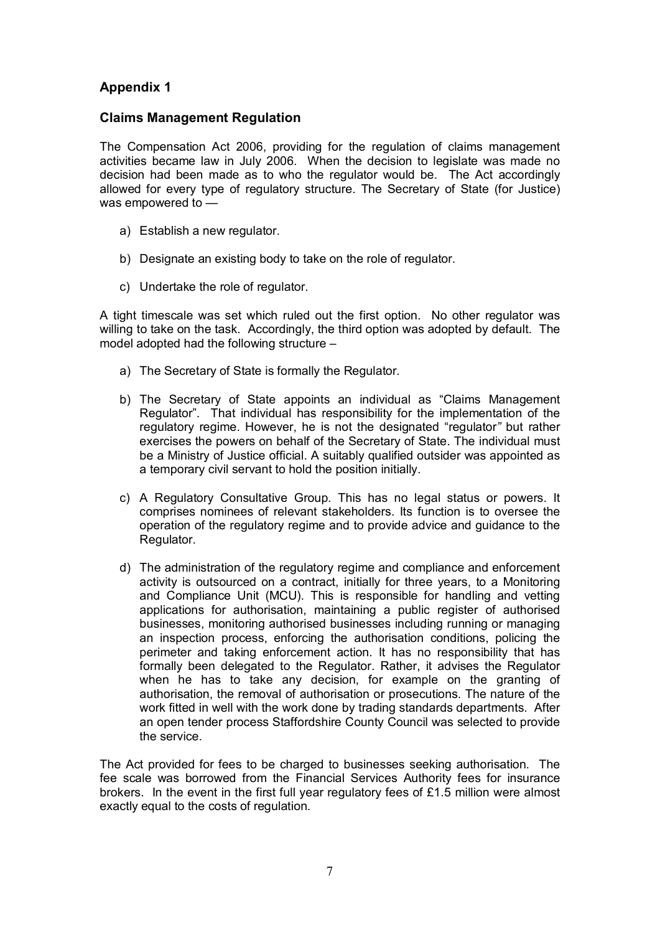# **Appendix 1**

## **Claims Management Regulation**

The Compensation Act 2006, providing for the regulation of claims management activities became law in July 2006. When the decision to legislate was made no decision had been made as to who the regulator would be. The Act accordingly allowed for every type of regulatory structure. The Secretary of State (for Justice) was empowered to —

- a) Establish a new regulator.
- b) Designate an existing body to take on the role of regulator.
- c) Undertake the role of regulator.

A tight timescale was set which ruled out the first option. No other regulator was willing to take on the task. Accordingly, the third option was adopted by default. The model adopted had the following structure –

- a) The Secretary of State is formally the Regulator.
- b) The Secretary of State appoints an individual as "Claims Management Regulator". That individual has responsibility for the implementation of the regulatory regime. However, he is not the designated "regulator*"* but rather exercises the powers on behalf of the Secretary of State. The individual must be a Ministry of Justice official. A suitably qualified outsider was appointed as a temporary civil servant to hold the position initially.
- c) A Regulatory Consultative Group. This has no legal status or powers. It comprises nominees of relevant stakeholders. Its function is to oversee the operation of the regulatory regime and to provide advice and guidance to the Regulator.
- d) The administration of the regulatory regime and compliance and enforcement activity is outsourced on a contract, initially for three years, to a Monitoring and Compliance Unit (MCU). This is responsible for handling and vetting applications for authorisation, maintaining a public register of authorised businesses, monitoring authorised businesses including running or managing an inspection process, enforcing the authorisation conditions, policing the perimeter and taking enforcement action. It has no responsibility that has formally been delegated to the Regulator. Rather, it advises the Regulator when he has to take any decision, for example on the granting of authorisation, the removal of authorisation or prosecutions. The nature of the work fitted in well with the work done by trading standards departments. After an open tender process Staffordshire County Council was selected to provide the service.

The Act provided for fees to be charged to businesses seeking authorisation. The fee scale was borrowed from the Financial Services Authority fees for insurance brokers. In the event in the first full year regulatory fees of £1.5 million were almost exactly equal to the costs of regulation.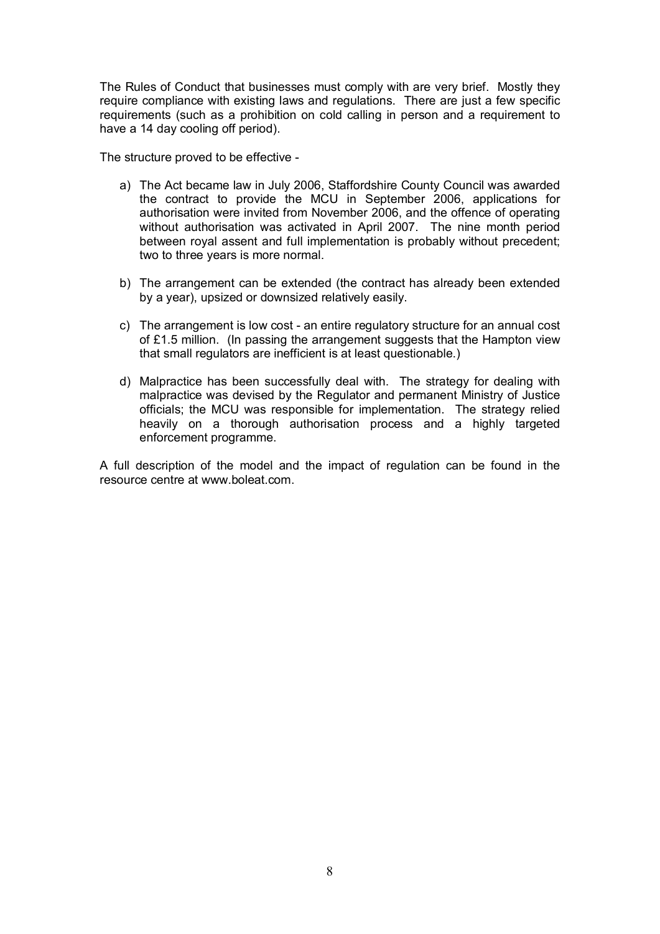The Rules of Conduct that businesses must comply with are very brief. Mostly they require compliance with existing laws and regulations. There are just a few specific requirements (such as a prohibition on cold calling in person and a requirement to have a 14 day cooling off period).

The structure proved to be effective -

- a) The Act became law in July 2006, Staffordshire County Council was awarded the contract to provide the MCU in September 2006, applications for authorisation were invited from November 2006, and the offence of operating without authorisation was activated in April 2007. The nine month period between royal assent and full implementation is probably without precedent; two to three years is more normal.
- b) The arrangement can be extended (the contract has already been extended by a year), upsized or downsized relatively easily.
- c) The arrangement is low cost an entire regulatory structure for an annual cost of £1.5 million. (In passing the arrangement suggests that the Hampton view that small regulators are inefficient is at least questionable.)
- d) Malpractice has been successfully deal with. The strategy for dealing with malpractice was devised by the Regulator and permanent Ministry of Justice officials; the MCU was responsible for implementation. The strategy relied heavily on a thorough authorisation process and a highly targeted enforcement programme.

A full description of the model and the impact of regulation can be found in the resource centre at www.boleat.com.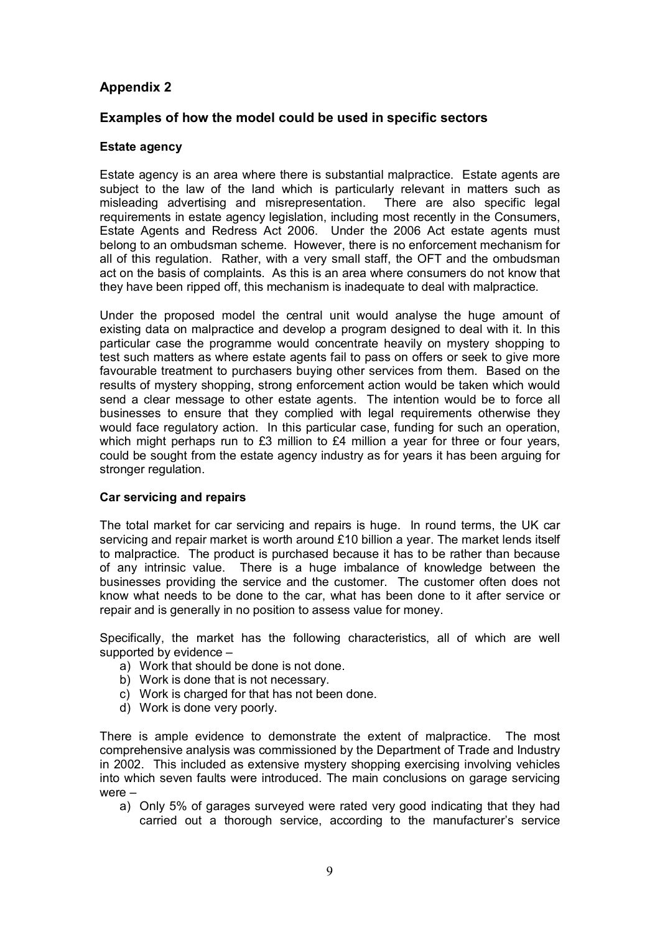# **Appendix 2**

## **Examples of how the model could be used in specific sectors**

### **Estate agency**

Estate agency is an area where there is substantial malpractice. Estate agents are subject to the law of the land which is particularly relevant in matters such as misleading advertising and misrepresentation. There are also specific legal requirements in estate agency legislation, including most recently in the Consumers, Estate Agents and Redress Act 2006. Under the 2006 Act estate agents must belong to an ombudsman scheme. However, there is no enforcement mechanism for all of this regulation. Rather, with a very small staff, the OFT and the ombudsman act on the basis of complaints. As this is an area where consumers do not know that they have been ripped off, this mechanism is inadequate to deal with malpractice.

Under the proposed model the central unit would analyse the huge amount of existing data on malpractice and develop a program designed to deal with it. In this particular case the programme would concentrate heavily on mystery shopping to test such matters as where estate agents fail to pass on offers or seek to give more favourable treatment to purchasers buying other services from them. Based on the results of mystery shopping, strong enforcement action would be taken which would send a clear message to other estate agents. The intention would be to force all businesses to ensure that they complied with legal requirements otherwise they would face regulatory action. In this particular case, funding for such an operation, which might perhaps run to  $£3$  million to  $£4$  million a year for three or four years, could be sought from the estate agency industry as for years it has been arguing for stronger regulation.

#### **Car servicing and repairs**

The total market for car servicing and repairs is huge. In round terms, the UK car servicing and repair market is worth around £10 billion a year. The market lends itself to malpractice. The product is purchased because it has to be rather than because of any intrinsic value. There is a huge imbalance of knowledge between the businesses providing the service and the customer. The customer often does not know what needs to be done to the car, what has been done to it after service or repair and is generally in no position to assess value for money.

Specifically, the market has the following characteristics, all of which are well supported by evidence –

- a) Work that should be done is not done.
- b) Work is done that is not necessary.
- c) Work is charged for that has not been done.
- d) Work is done very poorly.

There is ample evidence to demonstrate the extent of malpractice. The most comprehensive analysis was commissioned by the Department of Trade and Industry in 2002. This included as extensive mystery shopping exercising involving vehicles into which seven faults were introduced. The main conclusions on garage servicing were –

a) Only 5% of garages surveyed were rated very good indicating that they had carried out a thorough service, according to the manufacturer's service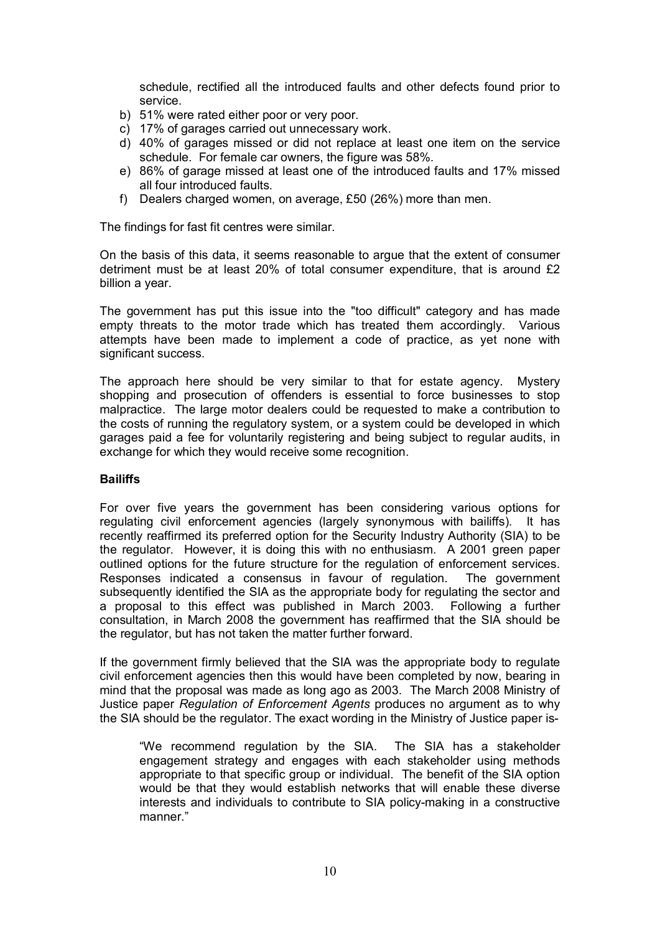schedule, rectified all the introduced faults and other defects found prior to service.

- b) 51% were rated either poor or very poor.
- c) 17% of garages carried out unnecessary work.
- d) 40% of garages missed or did not replace at least one item on the service schedule. For female car owners, the figure was 58%.
- e) 86% of garage missed at least one of the introduced faults and 17% missed all four introduced faults.
- f) Dealers charged women, on average, £50 (26%) more than men.

The findings for fast fit centres were similar.

On the basis of this data, it seems reasonable to argue that the extent of consumer detriment must be at least 20% of total consumer expenditure, that is around £2 billion a year.

The government has put this issue into the "too difficult" category and has made empty threats to the motor trade which has treated them accordingly. Various attempts have been made to implement a code of practice, as yet none with significant success.

The approach here should be very similar to that for estate agency. Mystery shopping and prosecution of offenders is essential to force businesses to stop malpractice. The large motor dealers could be requested to make a contribution to the costs of running the regulatory system, or a system could be developed in which garages paid a fee for voluntarily registering and being subject to regular audits, in exchange for which they would receive some recognition.

## **Bailiffs**

For over five years the government has been considering various options for regulating civil enforcement agencies (largely synonymous with bailiffs). It has recently reaffirmed its preferred option for the Security Industry Authority (SIA) to be the regulator. However, it is doing this with no enthusiasm. A 2001 green paper outlined options for the future structure for the regulation of enforcement services. Responses indicated a consensus in favour of regulation. The government subsequently identified the SIA as the appropriate body for regulating the sector and a proposal to this effect was published in March 2003. Following a further consultation, in March 2008 the government has reaffirmed that the SIA should be the regulator, but has not taken the matter further forward.

If the government firmly believed that the SIA was the appropriate body to regulate civil enforcement agencies then this would have been completed by now, bearing in mind that the proposal was made as long ago as 2003. The March 2008 Ministry of Justice paper *Regulation of Enforcement Agents* produces no argument as to why the SIA should be the regulator. The exact wording in the Ministry of Justice paper is-

"We recommend regulation by the SIA. The SIA has a stakeholder engagement strategy and engages with each stakeholder using methods appropriate to that specific group or individual. The benefit of the SIA option would be that they would establish networks that will enable these diverse interests and individuals to contribute to SIA policy-making in a constructive manner."